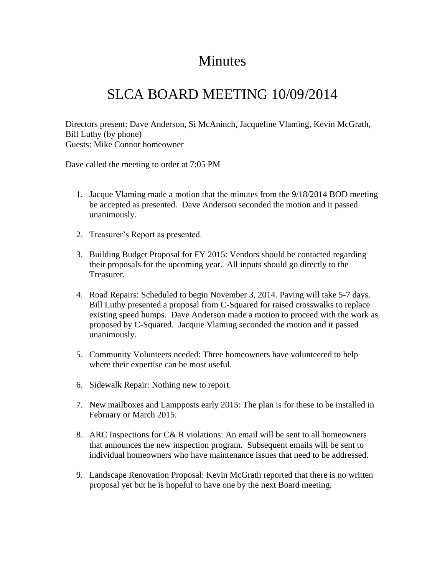## **Minutes**

## SLCA BOARD MEETING 10/09/2014

Directors present: Dave Anderson, Si McAninch, Jacqueline Vlaming, Kevin McGrath, Bill Luthy (by phone) Guests: Mike Connor homeowner

Dave called the meeting to order at 7:05 PM

- 1. Jacque Vlaming made a motion that the minutes from the 9/18/2014 BOD meeting be accepted as presented. Dave Anderson seconded the motion and it passed unanimously.
- 2. Treasurer's Report as presented.
- 3. Building Budget Proposal for FY 2015: Vendors should be contacted regarding their proposals for the upcoming year. All inputs should go directly to the Treasurer.
- 4. Road Repairs: Scheduled to begin November 3, 2014. Paving will take 5-7 days. Bill Luthy presented a proposal from C-Squared for raised crosswalks to replace existing speed humps. Dave Anderson made a motion to proceed with the work as proposed by C-Squared. Jacquie Vlaming seconded the motion and it passed unanimously.
- 5. Community Volunteers needed: Three homeowners have volunteered to help where their expertise can be most useful.
- 6. Sidewalk Repair: Nothing new to report.
- 7. New mailboxes and Lampposts early 2015: The plan is for these to be installed in February or March 2015.
- 8. ARC Inspections for C& R violations: An email will be sent to all homeowners that announces the new inspection program. Subsequent emails will be sent to individual homeowners who have maintenance issues that need to be addressed.
- 9. Landscape Renovation Proposal: Kevin McGrath reported that there is no written proposal yet but he is hopeful to have one by the next Board meeting.